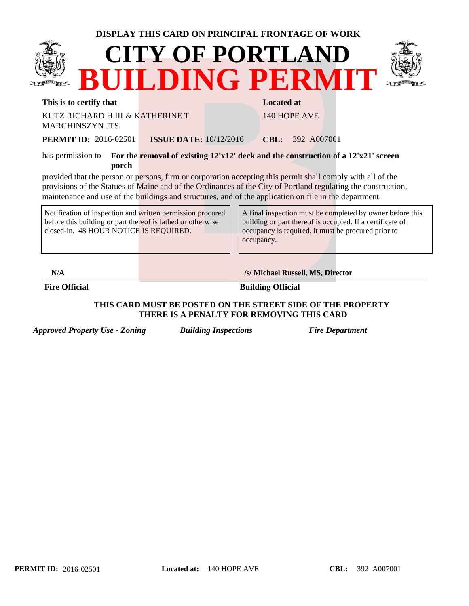|                                                                                                                                                                     |                               | DISPLAY THIS CARD ON PRINCIPAL FRONTAGE OF WORK                                                                                                                                                                                                                                                                                        |  |
|---------------------------------------------------------------------------------------------------------------------------------------------------------------------|-------------------------------|----------------------------------------------------------------------------------------------------------------------------------------------------------------------------------------------------------------------------------------------------------------------------------------------------------------------------------------|--|
|                                                                                                                                                                     |                               | <b>CITY OF PORTLAND</b><br><b>BUILDING PERMIT</b>                                                                                                                                                                                                                                                                                      |  |
| This is to certify that                                                                                                                                             |                               | <b>Located at</b>                                                                                                                                                                                                                                                                                                                      |  |
| KUTZ RICHARD H III & KATHERINE T<br><b>MARCHINSZYN JTS</b>                                                                                                          |                               | 140 HOPE AVE                                                                                                                                                                                                                                                                                                                           |  |
| <b>PERMIT ID:</b> 2016-02501                                                                                                                                        | <b>ISSUE DATE:</b> 10/12/2016 | <b>CBL:</b> 392 A007001                                                                                                                                                                                                                                                                                                                |  |
| porch                                                                                                                                                               |                               | has permission to For the removal of existing 12'x12' deck and the construction of a 12'x21' screen                                                                                                                                                                                                                                    |  |
|                                                                                                                                                                     |                               | provided that the person or persons, firm or corporation accepting this permit shall comply with all of the<br>provisions of the Statues of Maine and of the Ordinances of the City of Portland regulating the construction,<br>maintenance and use of the buildings and structures, and of the application on file in the department. |  |
| Notification of inspection and written permission procured<br>before this building or part thereof is lathed or otherwise<br>closed-in. 48 HOUR NOTICE IS REQUIRED. |                               | A final inspection must be completed by owner before this<br>building or part thereof is occupied. If a certificate of<br>occupancy is required, it must be procured prior to<br>occupancy.                                                                                                                                            |  |
| N/A                                                                                                                                                                 |                               | /s/ Michael Russell, MS, Director                                                                                                                                                                                                                                                                                                      |  |
| <b>Fire Official</b>                                                                                                                                                |                               | <b>Building Official</b>                                                                                                                                                                                                                                                                                                               |  |

## **THIS CARD MUST BE POSTED ON THE STREET SIDE OF THE PROPERTY THERE IS A PENALTY FOR REMOVING THIS CARD**

*Approved Property Use - Zoning Building Inspections Fire Department*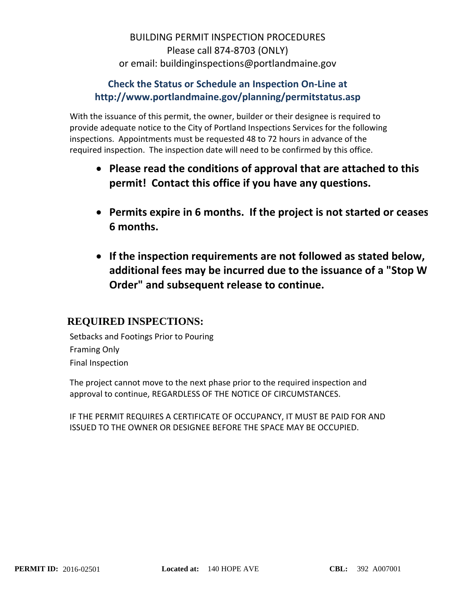## BUILDING PERMIT INSPECTION PROCEDURES Please call 874‐8703 (ONLY) or email: buildinginspections@portlandmaine.gov

## **Check the Status or Schedule an Inspection On‐Line at http://www.portlandmaine.gov/planning/permitstatus.asp**

With the issuance of this permit, the owner, builder or their designee is required to provide adequate notice to the City of Portland Inspections Services for the following inspections. Appointments must be requested 48 to 72 hours in advance of the required inspection. The inspection date will need to be confirmed by this office.

- **Please read the conditions of approval that are attached to this permit! Contact this office if you have any questions.**
- **Permits expire in 6 months. If the project is not started or ceases 6 months.**
- **If the inspection requirements are not followed as stated below, additional fees may be incurred due to the issuance of a "Stop W Order" and subsequent release to continue.**

## **REQUIRED INSPECTIONS:**

Setbacks and Footings Prior to Pouring Framing Only Final Inspection

The project cannot move to the next phase prior to the required inspection and approval to continue, REGARDLESS OF THE NOTICE OF CIRCUMSTANCES.

IF THE PERMIT REQUIRES A CERTIFICATE OF OCCUPANCY, IT MUST BE PAID FOR AND ISSUED TO THE OWNER OR DESIGNEE BEFORE THE SPACE MAY BE OCCUPIED.